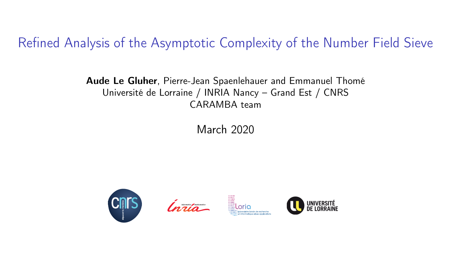Refined Analysis of the Asymptotic Complexity of the Number Field Sieve

Aude Le Gluher, Pierre-Jean Spaenlehauer and Emmanuel Thomé Université de Lorraine / INRIA Nancy – Grand Est / CNRS CARAMBA team

March 2020



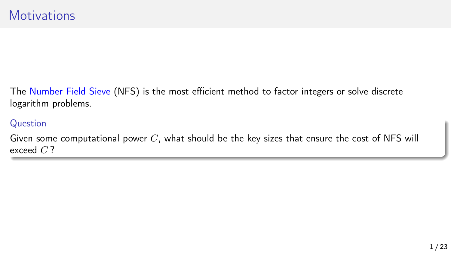The Number Field Sieve (NFS) is the most efficient method to factor integers or solve discrete logarithm problems.

#### Question

Given some computational power  $C$ , what should be the key sizes that ensure the cost of NFS will exceed  $C$ ?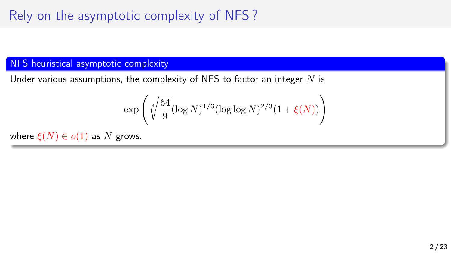# Rely on the asymptotic complexity of NFS ?

### NFS heuristical asymptotic complexity

Under various assumptions, the complexity of NFS to factor an integer  $N$  is

$$
\exp\left(\sqrt[3]{\frac{64}{9}}(\log N)^{1/3}(\log\log N)^{2/3}(1+\xi(N))\right)
$$

where  $\xi(N) \in o(1)$  as N grows.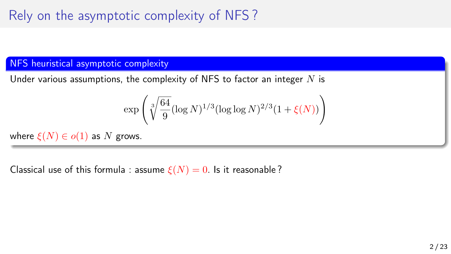# Rely on the asymptotic complexity of NFS ?

### NFS heuristical asymptotic complexity

Under various assumptions, the complexity of NFS to factor an integer  $N$  is

$$
\exp\left(\sqrt[3]{\frac{64}{9}}(\log N)^{1/3}(\log\log N)^{2/3}(1+\xi(N))\right)
$$

where  $\xi(N) \in o(1)$  as N grows.

Classical use of this formula : assume  $\xi(N) = 0$ . Is it reasonable?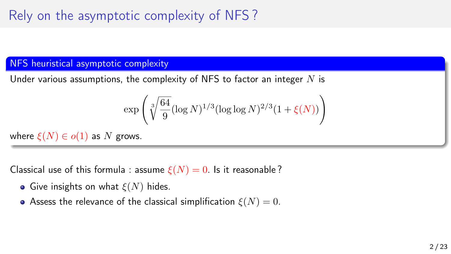# Rely on the asymptotic complexity of NFS ?

### **NFS** heuristical asymptotic complexity

Under various assumptions, the complexity of NFS to factor an integer  $N$  is

$$
\exp\left(\sqrt[3]{\frac{64}{9}}(\log N)^{1/3}(\log\log N)^{2/3}(1+\xi(N))\right)
$$

where  $\xi(N) \in o(1)$  as N grows.

Classical use of this formula : assume  $\xi(N) = 0$ . Is it reasonable?

- Give insights on what  $\xi(N)$  hides.
- Assess the relevance of the classical simplification  $\xi(N) = 0$ .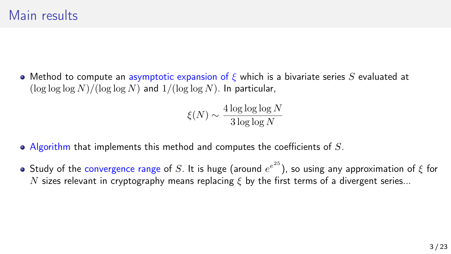• Method to compute an asymptotic expansion of  $\epsilon$  which is a bivariate series S evaluated at  $(\log \log \log N)/(\log \log N)$  and  $1/(\log \log N)$ . In particular,

$$
\xi(N) \sim \frac{4 \log \log \log N}{3 \log \log N}
$$

- $\bullet$  Algorithm that implements this method and computes the coefficients of S.
- Study of the convergence range of  $S.$  It is huge (around  $e^{e^{25}}$ ), so using any approximation of  $\xi$  for N sizes relevant in cryptography means replacing  $\xi$  by the first terms of a divergent series...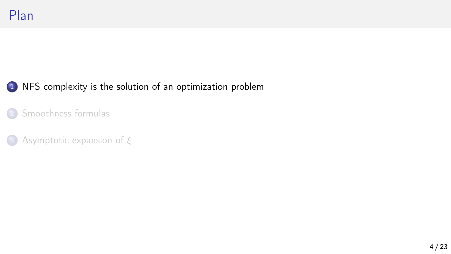## <span id="page-6-0"></span><sup>1</sup> [NFS complexity is the solution of an optimization problem](#page-6-0)

2 [Smoothness formulas](#page-16-0)

<sup>3</sup> [Asymptotic expansion of](#page-29-0) ξ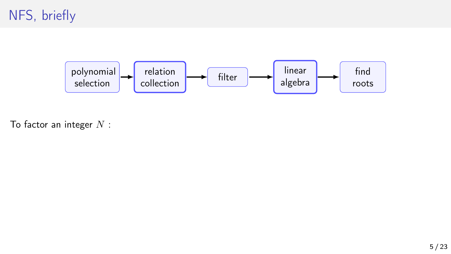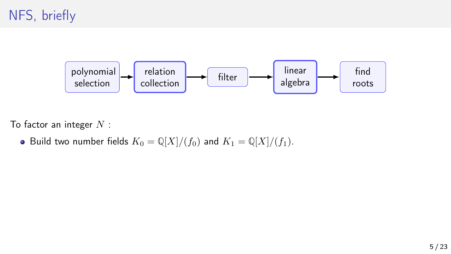

To factor an integer  $N$  :

• Build two number fields  $K_0 = \mathbb{Q}[X]/(f_0)$  and  $K_1 = \mathbb{Q}[X]/(f_1)$ .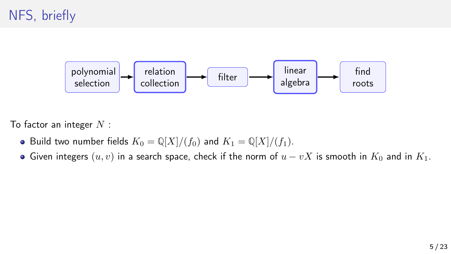

- Build two number fields  $K_0 = \mathbb{Q}[X]/(f_0)$  and  $K_1 = \mathbb{Q}[X]/(f_1)$ .
- Given integers  $(u, v)$  in a search space, check if the norm of  $u vX$  is smooth in  $K_0$  and in  $K_1$ .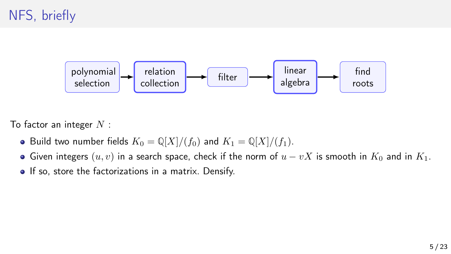

- Build two number fields  $K_0 = \mathbb{Q}[X]/(f_0)$  and  $K_1 = \mathbb{Q}[X]/(f_1)$ .
- Given integers  $(u, v)$  in a search space, check if the norm of  $u vX$  is smooth in  $K_0$  and in  $K_1$ .
- **•** If so, store the factorizations in a matrix. Densify.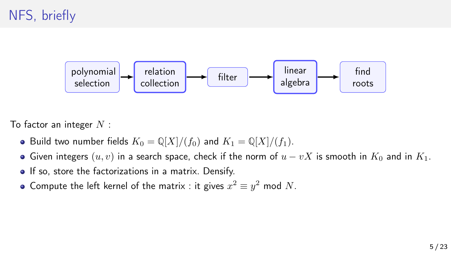

- Build two number fields  $K_0 = \mathbb{Q}[X]/(f_0)$  and  $K_1 = \mathbb{Q}[X]/(f_1)$ .
- Given integers  $(u, v)$  in a search space, check if the norm of  $u vX$  is smooth in  $K_0$  and in  $K_1$ .
- **•** If so, store the factorizations in a matrix. Densify.
- Compute the left kernel of the matrix : it gives  $x^2 \equiv y^2$  mod N.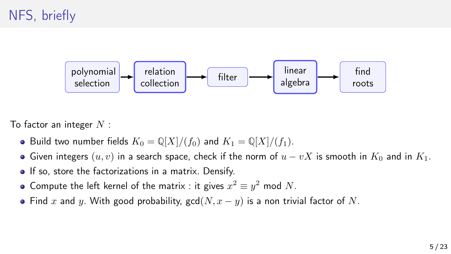

- Build two number fields  $K_0 = \mathbb{Q}[X]/(f_0)$  and  $K_1 = \mathbb{Q}[X]/(f_1)$ .
- Given integers  $(u, v)$  in a search space, check if the norm of  $u vX$  is smooth in  $K_0$  and in  $K_1$ .
- **•** If so, store the factorizations in a matrix. Densify.
- Compute the left kernel of the matrix : it gives  $x^2 \equiv y^2$  mod N.
- Find x and y. With good probability,  $gcd(N, x y)$  is a non trivial factor of N.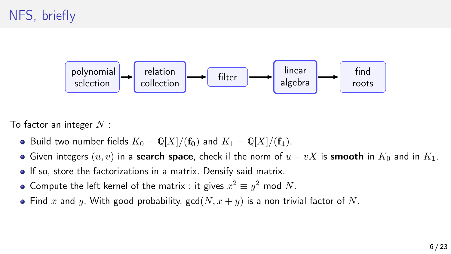

- Build two number fields  $K_0 = \mathbb{Q}[X]/(\mathbf{f_0})$  and  $K_1 = \mathbb{Q}[X]/(\mathbf{f_1})$ .
- Given integers  $(u, v)$  in a **search space**, check il the norm of  $u vX$  is **smooth** in  $K_0$  and in  $K_1$ .
- **If so, store the factorizations in a matrix. Densify said matrix.**
- Compute the left kernel of the matrix : it gives  $x^2 \equiv y^2$  mod N.
- Find x and y. With good probability,  $gcd(N, x + y)$  is a non trivial factor of N.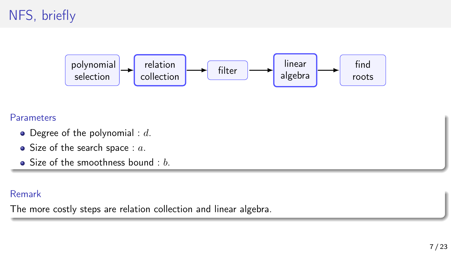

#### **Parameters**

- $\bullet$  Degree of the polynomial : d.
- $\bullet$  Size of the search space :  $a$ .
- $\bullet$  Size of the smoothness bound : b.

### Remark

The more costly steps are relation collection and linear algebra.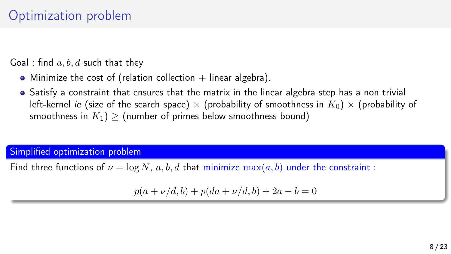## Optimization problem

Goal : find  $a, b, d$  such that they

- Minimize the cost of (relation collection  $+$  linear algebra).
- Satisfy a constraint that ensures that the matrix in the linear algebra step has a non trivial left-kernel ie (size of the search space)  $\times$  (probability of smoothness in  $K_0 \times$  (probability of smoothness in  $K_1$ ) > (number of primes below smoothness bound)

Simplified optimization problem

Find three functions of  $\nu = \log N$ , a, b, d that minimize  $\max(a, b)$  under the constraint:

 $p(a + \nu/d, b) + p(da + \nu/d, b) + 2a - b = 0$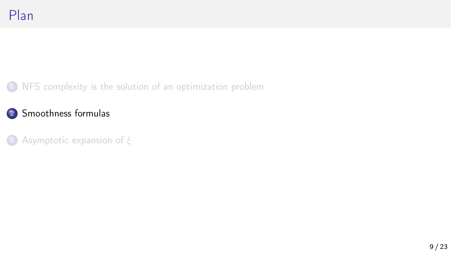<span id="page-16-0"></span>1 [NFS complexity is the solution of an optimization problem](#page-6-0)

2 [Smoothness formulas](#page-16-0)

<sup>3</sup> [Asymptotic expansion of](#page-29-0) ξ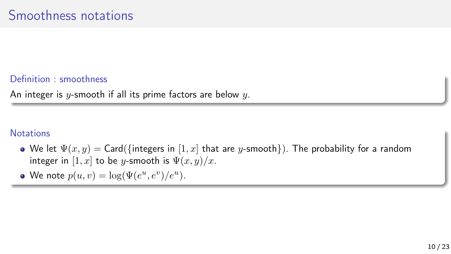### Definition : smoothness

An integer is y-smooth if all its prime factors are below  $y$ .

### **Notations**

- We let  $\Psi(x, y) = \text{Card}(\{\text{integers in } [1, x] \text{ that are } y\text{-smooth}\}).$  The probability for a random integer in  $[1, x]$  to be y-smooth is  $\Psi(x, y)/x$ .
- We note  $p(u, v) = \log(\Psi(e^u, e^v)/e^u)$ .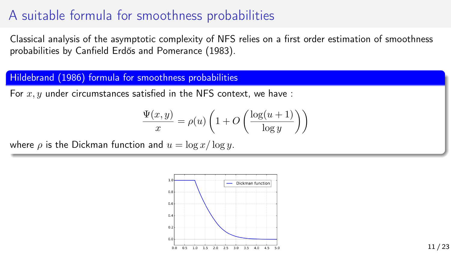## A suitable formula for smoothness probabilities

Classical analysis of the asymptotic complexity of NFS relies on a first order estimation of smoothness probabilities by Canfield Erdős and Pomerance (1983).

### Hildebrand (1986) formula for smoothness probabilities

For  $x, y$  under circumstances satisfied in the NFS context, we have :

$$
\frac{\Psi(x,y)}{x} = \rho(u) \left( 1 + O\left(\frac{\log(u+1)}{\log y}\right) \right)
$$

where  $\rho$  is the Dickman function and  $u = \log x / \log y$ .

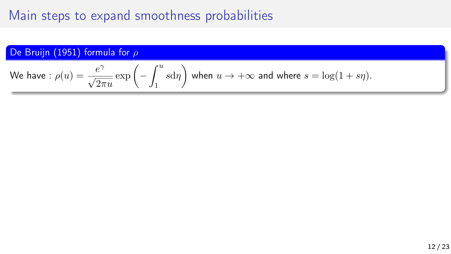De Bruijn (1951) formula for 
$$
\rho
$$

We have: 
$$
\rho(u) = \frac{e^{\gamma}}{\sqrt{2\pi u}} \exp\left(-\int_1^u s d\eta\right)
$$
 when  $u \to +\infty$  and where  $s = \log(1 + s\eta)$ .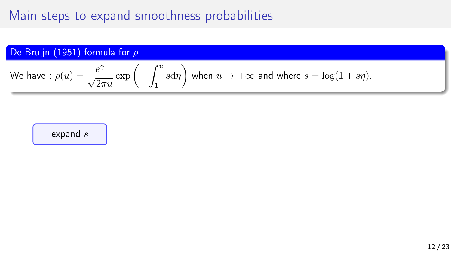De Bruijn (1951) formula for 
$$
\rho
$$

We have: 
$$
\rho(u) = \frac{e^{\gamma}}{\sqrt{2\pi u}} \exp\left(-\int_1^u s d\eta\right)
$$
 when  $u \to +\infty$  and where  $s = \log(1 + s\eta)$ .

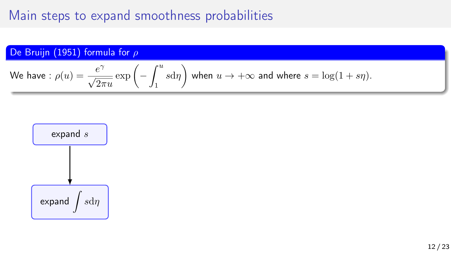De Bruijn (1951) formula for 
$$
\rho
$$

We have: 
$$
\rho(u) = \frac{e^{\gamma}}{\sqrt{2\pi u}} \exp\left(-\int_1^u s d\eta\right)
$$
 when  $u \to +\infty$  and where  $s = \log(1 + s\eta)$ .

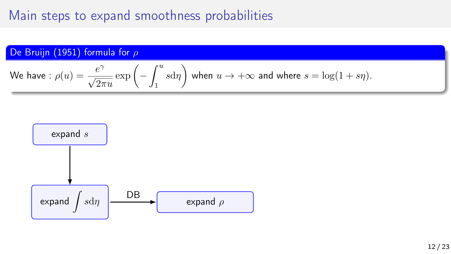De Bruijn (1951) formula for 
$$
\rho
$$

We have: 
$$
\rho(u) = \frac{e^{\gamma}}{\sqrt{2\pi u}} \exp\left(-\int_1^u s d\eta\right)
$$
 when  $u \to +\infty$  and where  $s = \log(1 + s\eta)$ .

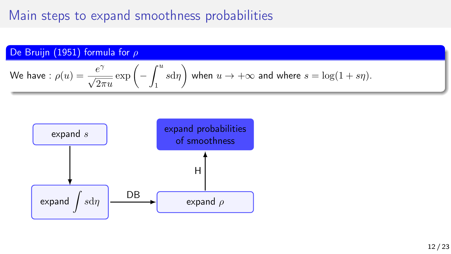De Bruijn (1951) formula for 
$$
\rho
$$

We have: 
$$
\rho(u) = \frac{e^{\gamma}}{\sqrt{2\pi u}} \exp\left(-\int_1^u s d\eta\right)
$$
 when  $u \to +\infty$  and where  $s = \log(1 + s\eta)$ .

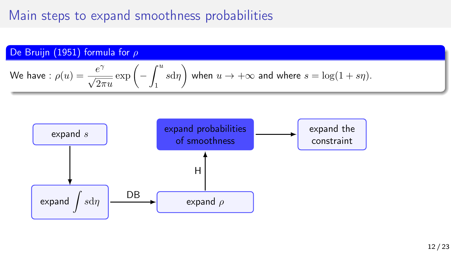De Bruijn (1951) formula for 
$$
\rho
$$

We have: 
$$
\rho(u) = \frac{e^{\gamma}}{\sqrt{2\pi u}} \exp\left(-\int_1^u s d\eta\right)
$$
 when  $u \to +\infty$  and where  $s = \log(1 + s\eta)$ .

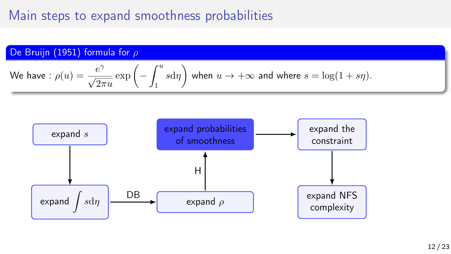De Bruijn (1951) formula for 
$$
\rho
$$

We have: 
$$
\rho(u) = \frac{e^{\gamma}}{\sqrt{2\pi u}} \exp\left(-\int_1^u s d\eta\right)
$$
 when  $u \to +\infty$  and where  $s = \log(1 + s\eta)$ .

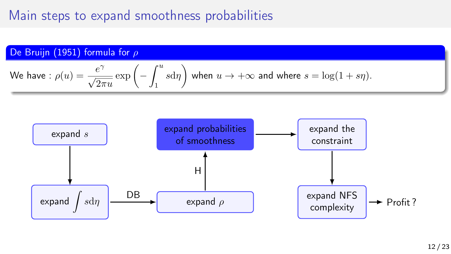De Bruijn (1951) formula for 
$$
\rho
$$

We have: 
$$
\rho(u) = \frac{e^{\gamma}}{\sqrt{2\pi u}} \exp\left(-\int_1^u s d\eta\right)
$$
 when  $u \to +\infty$  and where  $s = \log(1 + s\eta)$ .

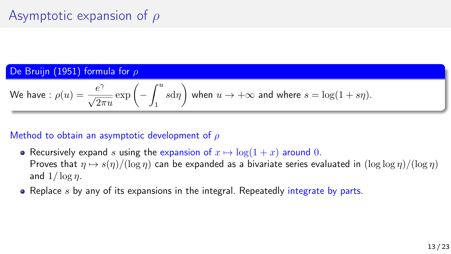## Asymptotic expansion of  $\rho$

#### De Bruijn (1951) formula for ρ

We have: 
$$
\rho(u) = \frac{e^{\gamma}}{\sqrt{2\pi u}} \exp\left(-\int_1^u s d\eta\right)
$$
 when  $u \to +\infty$  and where  $s = \log(1 + s\eta)$ .

### Method to obtain an asymptotic development of  $\rho$

- Recursively expand s using the expansion of  $x \mapsto \log(1 + x)$  around 0. Proves that  $\eta \mapsto s(\eta)/(\log \eta)$  can be expanded as a bivariate series evaluated in  $(\log \log \eta)/(\log \eta)$ and  $1/\log \eta$ .
- Replace  $s$  by any of its expansions in the integral. Repeatedly integrate by parts.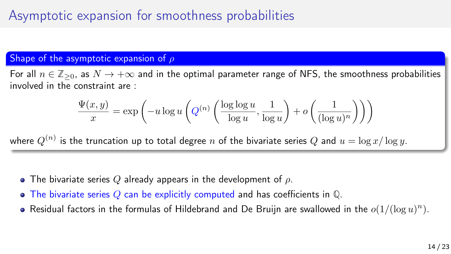## Asymptotic expansion for smoothness probabilities

### Shape of the asymptotic expansion of  $\rho$

For all  $n \in \mathbb{Z}_{\geq 0}$ , as  $N \to +\infty$  and in the optimal parameter range of NFS, the smoothness probabilities involved in the constraint are :

$$
\frac{\Psi(x,y)}{x} = \exp\left(-u\log u\left(Q^{(n)}\left(\frac{\log\log u}{\log u}, \frac{1}{\log u}\right) + o\left(\frac{1}{(\log u)^n}\right)\right)\right)
$$

where  $Q^{(n)}$  is the truncation up to total degree  $n$  of the bivariate series  $Q$  and  $u=\log x/\log y.$ 

- The bivariate series Q already appears in the development of  $\rho$ .
- The bivariate series Q can be explicitly computed and has coefficients in **Q**.
- Residual factors in the formulas of Hildebrand and De Bruijn are swallowed in the  $o(1/(\log u)^n)$ .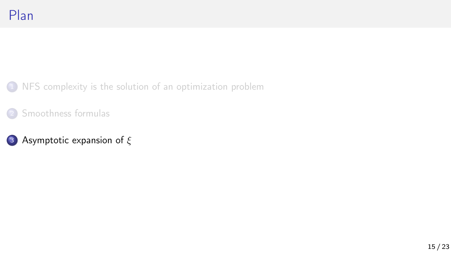<span id="page-29-0"></span>1 [NFS complexity is the solution of an optimization problem](#page-6-0)

2 [Smoothness formulas](#page-16-0)

## <sup>3</sup> [Asymptotic expansion of](#page-29-0) ξ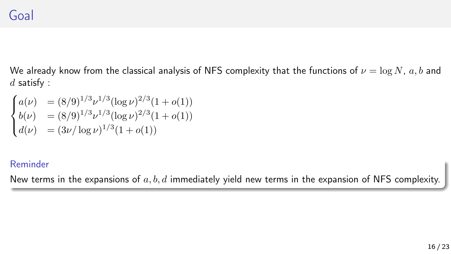## Goal

We already know from the classical analysis of NFS complexity that the functions of  $\nu = \log N$ , a, b and  $d$  satisfy :

$$
\begin{cases}\na(\nu) &= (8/9)^{1/3} \nu^{1/3} (\log \nu)^{2/3} (1 + o(1)) \\
b(\nu) &= (8/9)^{1/3} \nu^{1/3} (\log \nu)^{2/3} (1 + o(1)) \\
d(\nu) &= (3\nu/\log \nu)^{1/3} (1 + o(1))\n\end{cases}
$$

### Reminder

New terms in the expansions of  $a, b, d$  immediately yield new terms in the expansion of NFS complexity.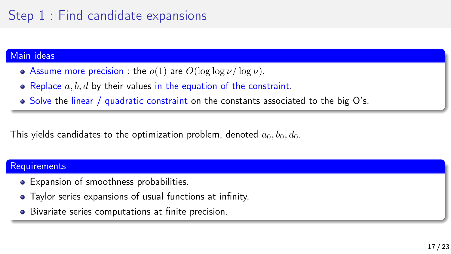## Step 1 : Find candidate expansions

#### Main ideas

- Assume more precision : the  $o(1)$  are  $O(\log \log \nu / \log \nu)$ .
- Replace  $a, b, d$  by their values in the equation of the constraint.
- Solve the linear / quadratic constraint on the constants associated to the big O's.

This yields candidates to the optimization problem, denoted  $a_0, b_0, d_0$ .

#### **Requirements**

- Expansion of smoothness probabilities.
- Taylor series expansions of usual functions at infinity.
- Bivariate series computations at finite precision.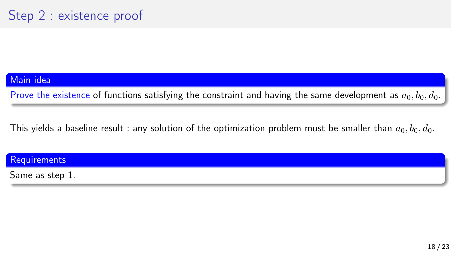#### Main idea

Prove the existence of functions satisfying the constraint and having the same development as  $a_0, b_0, d_0$ .

This yields a baseline result : any solution of the optimization problem must be smaller than  $a_0, b_0, d_0$ .

**Requirements** 

Same as step 1.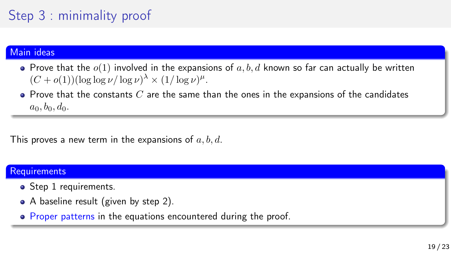# Step 3 : minimality proof

#### Main ideas

- $\bullet$  Prove that the  $o(1)$  involved in the expansions of a, b, d known so far can actually be written  $(C + o(1)) (\log \log \nu / \log \nu)^{\lambda} \times (1/\log \nu)^{\mu}.$
- $\bullet$  Prove that the constants  $C$  are the same than the ones in the expansions of the candidates  $a_0, b_0, d_0.$

This proves a new term in the expansions of  $a, b, d$ .

#### **Requirements**

- Step 1 requirements.
- A baseline result (given by step 2).
- Proper patterns in the equations encountered during the proof.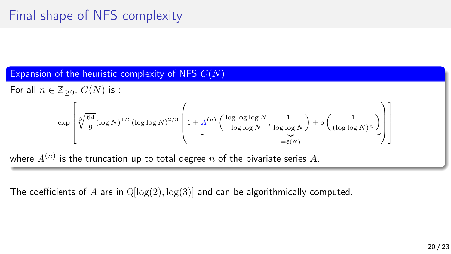# Final shape of NFS complexity

Expansion of the heuristic complexity of NFS  $C(N)$ 

For all  $n \in \mathbb{Z}_{\geq 0}$ ,  $C(N)$  is :

$$
\exp\left[\sqrt[3]{\frac{64}{9}}(\log N)^{1/3}(\log\log N)^{2/3}\left(1+\underbrace{A^{(n)}\left(\frac{\log\log\log N}{\log\log N},\frac{1}{\log\log N}\right)+o\left(\frac{1}{(\log\log N)^n}\right)}_{=\xi(N)}\right)\right]
$$

where  $A^{(n)}$  is the truncation up to total degree  $n$  of the bivariate series  $A.$ 

The coefficients of A are in **Q**[log(2), log(3)] and can be algorithmically computed.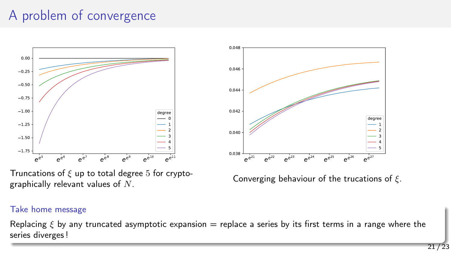## A problem of convergence



Truncations of  $\xi$  up to total degree 5 for cryptographically relevant values of  $N$ .



Converging behaviour of the trucations of  $\xi$ .

#### Take home message

Replacing  $\xi$  by any truncated asymptotic expansion = replace a series by its first terms in a range where the series diverges !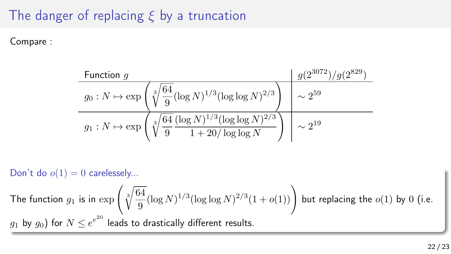# The danger of replacing  $\xi$  by a truncation

Compare :

| Function $g$                                                                                                           | $g(2^{3072})/g(2^{829})$ |
|------------------------------------------------------------------------------------------------------------------------|--------------------------|
| $g_0: N \mapsto \exp\left(\sqrt[3]{\frac{64}{9}} (\log N)^{1/3} (\log \log N)^{2/3}\right)$                            | $\sim 2^{59}$            |
| $g_1: N \mapsto \exp\left(\sqrt[3]{\frac{64}{9}} \frac{(\log N)^{1/3} (\log \log N)^{2/3}}{1 + 20/\log \log N}\right)$ | $\sim 2^{19}$            |

Don't do  $o(1) = 0$  carelessely...

The function  $g_1$  is in  $\exp\left(\sqrt[3]{\frac{64}{9}}\right)$  $\frac{\overline{34}}{9}(\log N)^{1/3}(\log \log N)^{2/3}(1+o(1))\Bigg)$  but replacing the  $o(1)$  by  $0$  (i.e.  $g_1$  by  $g_0)$  for  $N \leq e^{e^{20}}$  leads to drastically different results.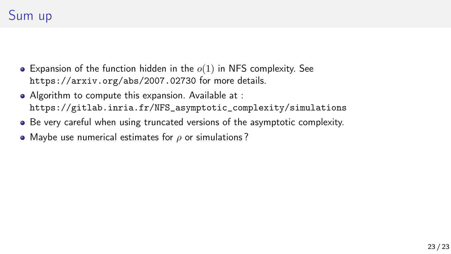## Sum up

- $\bullet$  Expansion of the function hidden in the  $o(1)$  in NFS complexity. See <https://arxiv.org/abs/2007.02730> for more details.
- Algorithm to compute this expansion. Available at : [https://gitlab.inria.fr/NFS\\_asymptotic\\_complexity/simulations](https://gitlab.inria.fr/NFS_asymptotic_complexity/simulations)
- Be very careful when using truncated versions of the asymptotic complexity.
- Maybe use numerical estimates for  $\rho$  or simulations?